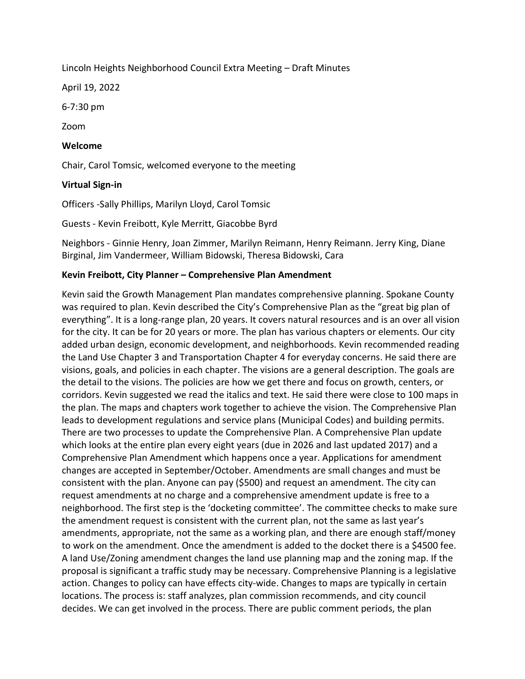Lincoln Heights Neighborhood Council Extra Meeting – Draft Minutes

April 19, 2022

6-7:30 pm

Zoom

### Welcome

Chair, Carol Tomsic, welcomed everyone to the meeting

### Virtual Sign-in

Officers -Sally Phillips, Marilyn Lloyd, Carol Tomsic

Guests - Kevin Freibott, Kyle Merritt, Giacobbe Byrd

Neighbors - Ginnie Henry, Joan Zimmer, Marilyn Reimann, Henry Reimann. Jerry King, Diane Birginal, Jim Vandermeer, William Bidowski, Theresa Bidowski, Cara

#### Kevin Freibott, City Planner – Comprehensive Plan Amendment

Kevin said the Growth Management Plan mandates comprehensive planning. Spokane County was required to plan. Kevin described the City's Comprehensive Plan as the "great big plan of everything". It is a long-range plan, 20 years. It covers natural resources and is an over all vision for the city. It can be for 20 years or more. The plan has various chapters or elements. Our city added urban design, economic development, and neighborhoods. Kevin recommended reading the Land Use Chapter 3 and Transportation Chapter 4 for everyday concerns. He said there are visions, goals, and policies in each chapter. The visions are a general description. The goals are the detail to the visions. The policies are how we get there and focus on growth, centers, or corridors. Kevin suggested we read the italics and text. He said there were close to 100 maps in the plan. The maps and chapters work together to achieve the vision. The Comprehensive Plan leads to development regulations and service plans (Municipal Codes) and building permits. There are two processes to update the Comprehensive Plan. A Comprehensive Plan update which looks at the entire plan every eight years (due in 2026 and last updated 2017) and a Comprehensive Plan Amendment which happens once a year. Applications for amendment changes are accepted in September/October. Amendments are small changes and must be consistent with the plan. Anyone can pay (\$500) and request an amendment. The city can request amendments at no charge and a comprehensive amendment update is free to a neighborhood. The first step is the 'docketing committee'. The committee checks to make sure the amendment request is consistent with the current plan, not the same as last year's amendments, appropriate, not the same as a working plan, and there are enough staff/money to work on the amendment. Once the amendment is added to the docket there is a \$4500 fee. A land Use/Zoning amendment changes the land use planning map and the zoning map. If the proposal is significant a traffic study may be necessary. Comprehensive Planning is a legislative action. Changes to policy can have effects city-wide. Changes to maps are typically in certain locations. The process is: staff analyzes, plan commission recommends, and city council decides. We can get involved in the process. There are public comment periods, the plan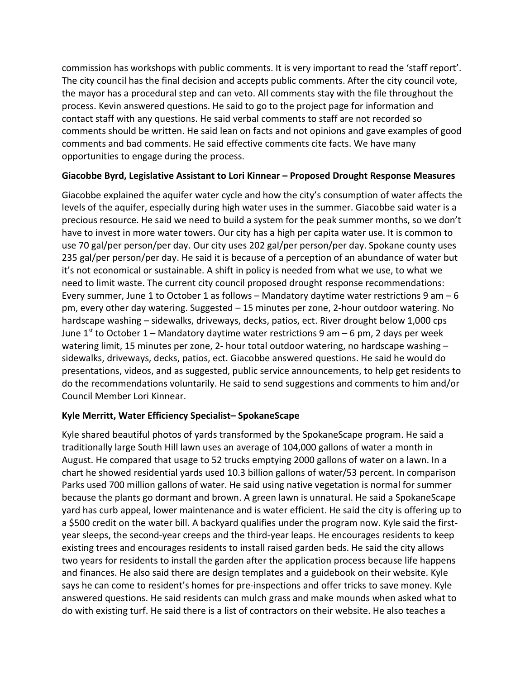commission has workshops with public comments. It is very important to read the 'staff report'. The city council has the final decision and accepts public comments. After the city council vote, the mayor has a procedural step and can veto. All comments stay with the file throughout the process. Kevin answered questions. He said to go to the project page for information and contact staff with any questions. He said verbal comments to staff are not recorded so comments should be written. He said lean on facts and not opinions and gave examples of good comments and bad comments. He said effective comments cite facts. We have many opportunities to engage during the process.

# Giacobbe Byrd, Legislative Assistant to Lori Kinnear – Proposed Drought Response Measures

Giacobbe explained the aquifer water cycle and how the city's consumption of water affects the levels of the aquifer, especially during high water uses in the summer. Giacobbe said water is a precious resource. He said we need to build a system for the peak summer months, so we don't have to invest in more water towers. Our city has a high per capita water use. It is common to use 70 gal/per person/per day. Our city uses 202 gal/per person/per day. Spokane county uses 235 gal/per person/per day. He said it is because of a perception of an abundance of water but it's not economical or sustainable. A shift in policy is needed from what we use, to what we need to limit waste. The current city council proposed drought response recommendations: Every summer, June 1 to October 1 as follows – Mandatory daytime water restrictions 9 am – 6 pm, every other day watering. Suggested – 15 minutes per zone, 2-hour outdoor watering. No hardscape washing – sidewalks, driveways, decks, patios, ect. River drought below 1,000 cps June 1<sup>st</sup> to October 1 – Mandatory daytime water restrictions 9 am – 6 pm, 2 days per week watering limit, 15 minutes per zone, 2- hour total outdoor watering, no hardscape washing sidewalks, driveways, decks, patios, ect. Giacobbe answered questions. He said he would do presentations, videos, and as suggested, public service announcements, to help get residents to do the recommendations voluntarily. He said to send suggestions and comments to him and/or Council Member Lori Kinnear.

# Kyle Merritt, Water Efficiency Specialist– SpokaneScape

Kyle shared beautiful photos of yards transformed by the SpokaneScape program. He said a traditionally large South Hill lawn uses an average of 104,000 gallons of water a month in August. He compared that usage to 52 trucks emptying 2000 gallons of water on a lawn. In a chart he showed residential yards used 10.3 billion gallons of water/53 percent. In comparison Parks used 700 million gallons of water. He said using native vegetation is normal for summer because the plants go dormant and brown. A green lawn is unnatural. He said a SpokaneScape yard has curb appeal, lower maintenance and is water efficient. He said the city is offering up to a \$500 credit on the water bill. A backyard qualifies under the program now. Kyle said the firstyear sleeps, the second-year creeps and the third-year leaps. He encourages residents to keep existing trees and encourages residents to install raised garden beds. He said the city allows two years for residents to install the garden after the application process because life happens and finances. He also said there are design templates and a guidebook on their website. Kyle says he can come to resident's homes for pre-inspections and offer tricks to save money. Kyle answered questions. He said residents can mulch grass and make mounds when asked what to do with existing turf. He said there is a list of contractors on their website. He also teaches a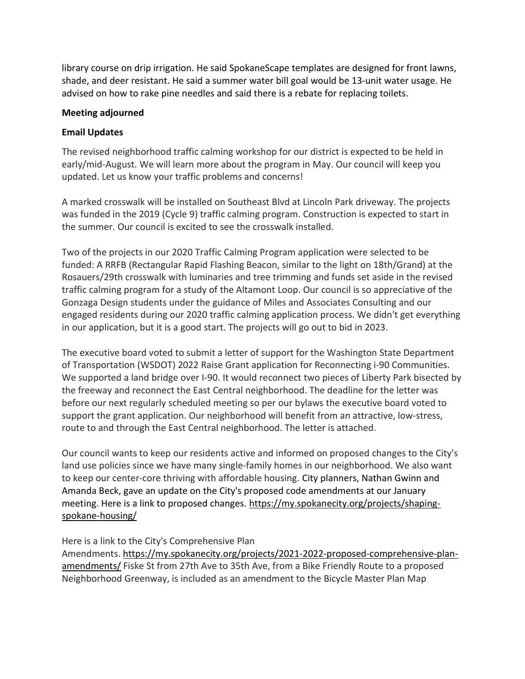library course on drip irrigation. He said SpokaneScape templates are designed for front lawns, shade, and deer resistant. He said a summer water bill goal would be 13-unit water usage. He advised on how to rake pine needles and said there is a rebate for replacing toilets.

#### Meeting adjourned

## Email Updates

The revised neighborhood traffic calming workshop for our district is expected to be held in early/mid-August. We will learn more about the program in May. Our council will keep you updated. Let us know your traffic problems and concerns!

A marked crosswalk will be installed on Southeast Blvd at Lincoln Park driveway. The projects was funded in the 2019 (Cycle 9) traffic calming program. Construction is expected to start in the summer. Our council is excited to see the crosswalk installed.

Two of the projects in our 2020 Traffic Calming Program application were selected to be funded: A RRFB (Rectangular Rapid Flashing Beacon, similar to the light on 18th/Grand) at the Rosauers/29th crosswalk with luminaries and tree trimming and funds set aside in the revised traffic calming program for a study of the Altamont Loop. Our council is so appreciative of the Gonzaga Design students under the guidance of Miles and Associates Consulting and our engaged residents during our 2020 traffic calming application process. We didn't get everything in our application, but it is a good start. The projects will go out to bid in 2023.

The executive board voted to submit a letter of support for the Washington State Department of Transportation (WSDOT) 2022 Raise Grant application for Reconnecting i-90 Communities. We supported a land bridge over I-90. It would reconnect two pieces of Liberty Park bisected by the freeway and reconnect the East Central neighborhood. The deadline for the letter was before our next regularly scheduled meeting so per our bylaws the executive board voted to support the grant application. Our neighborhood will benefit from an attractive, low-stress, route to and through the East Central neighborhood. The letter is attached.

Our council wants to keep our residents active and informed on proposed changes to the City's land use policies since we have many single-family homes in our neighborhood. We also want to keep our center-core thriving with affordable housing. City planners, Nathan Gwinn and Amanda Beck, gave an update on the City's proposed code amendments at our January meeting. Here is a link to proposed changes. https://my.spokanecity.org/projects/shapingspokane-housing/

# Here is a link to the City's Comprehensive Plan

Amendments. https://my.spokanecity.org/projects/2021-2022-proposed-comprehensive-planamendments/ Fiske St from 27th Ave to 35th Ave, from a Bike Friendly Route to a proposed Neighborhood Greenway, is included as an amendment to the Bicycle Master Plan Map